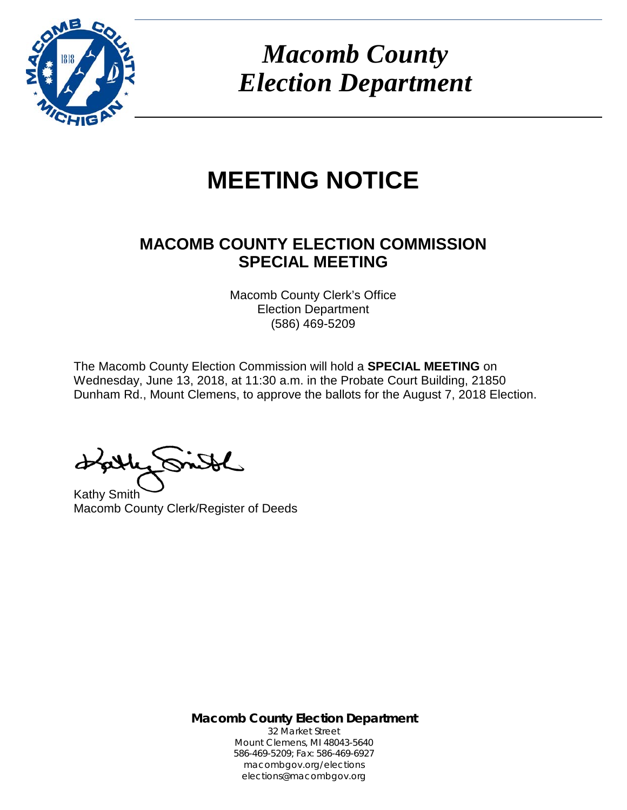

*Macomb County Election Department*

# **MEETING NOTICE**

# **MACOMB COUNTY ELECTION COMMISSION SPECIAL MEETING**

Macomb County Clerk's Office Election Department (586) 469-5209

The Macomb County Election Commission will hold a **SPECIAL MEETING** on Wednesday, June 13, 2018, at 11:30 a.m. in the Probate Court Building, 21850 Dunham Rd., Mount Clemens, to approve the ballots for the August 7, 2018 Election.

Kathy Smith Macomb County Clerk/Register of Deeds

**Macomb County Election Department** 32 Market Street Mount Clemens, MI 48043-5640 586-469-5209; Fax: 586-469-6927 macombgov.org/elections elections@macombgov.org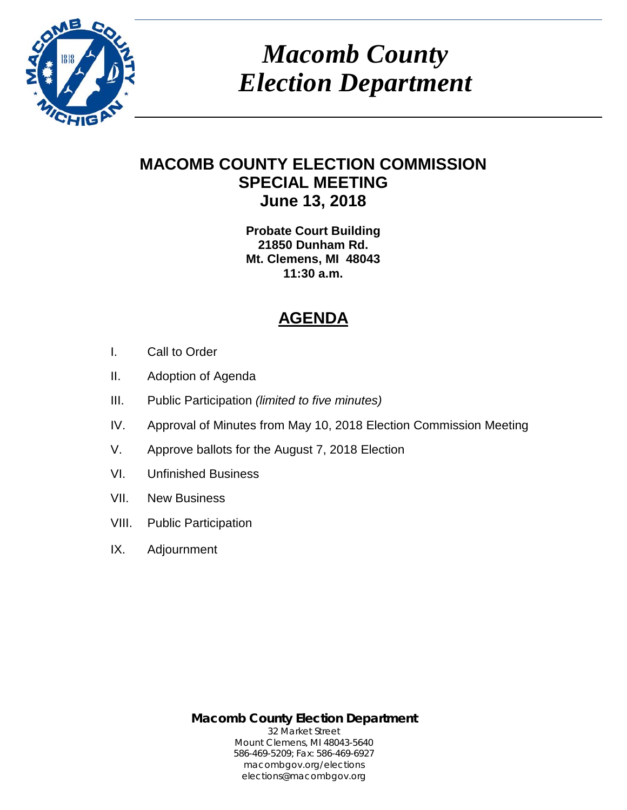

*Macomb County Election Department*

## **MACOMB COUNTY ELECTION COMMISSION SPECIAL MEETING June 13, 2018**

**Probate Court Building 21850 Dunham Rd. Mt. Clemens, MI 48043 11:30 a.m.**

# **AGENDA**

- I. Call to Order
- II. Adoption of Agenda
- III. Public Participation *(limited to five minutes)*
- IV. Approval of Minutes from May 10, 2018 Election Commission Meeting
- V. Approve ballots for the August 7, 2018 Election
- VI. Unfinished Business
- VII. New Business
- VIII. Public Participation
- IX. Adjournment

**Macomb County Election Department** 32 Market Street Mount Clemens, MI 48043-5640 586-469-5209; Fax: 586-469-6927 macombgov.org/elections elections@macombgov.org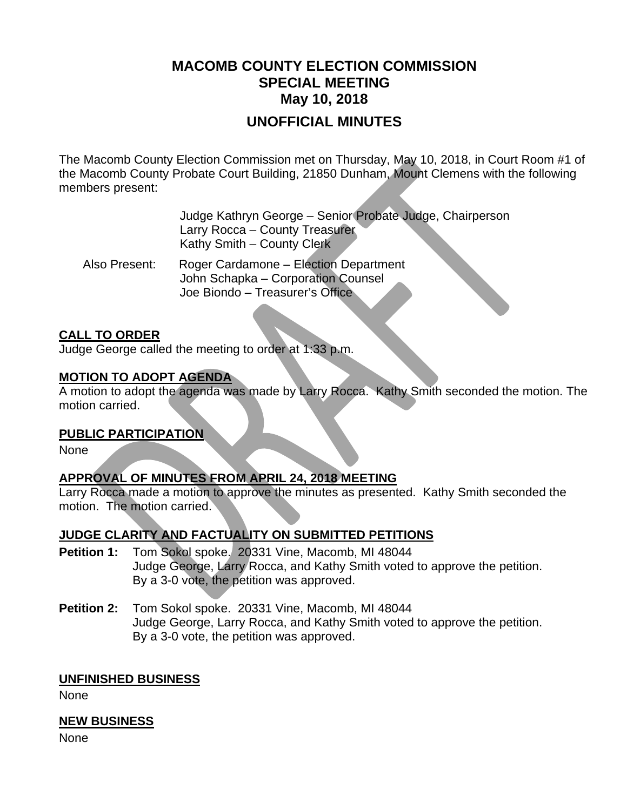# **MACOMB COUNTY ELECTION COMMISSION SPECIAL MEETING May 10, 2018**

### **UNOFFICIAL MINUTES**

The Macomb County Election Commission met on Thursday, May 10, 2018, in Court Room #1 of the Macomb County Probate Court Building, 21850 Dunham, Mount Clemens with the following members present:

> Judge Kathryn George – Senior Probate Judge, Chairperson Larry Rocca – County Treasurer Kathy Smith – County Clerk

 Also Present: Roger Cardamone – Election Department John Schapka – Corporation Counsel Joe Biondo – Treasurer's Office

#### **CALL TO ORDER**

Judge George called the meeting to order at 1:33 p.m.

#### **MOTION TO ADOPT AGENDA**

A motion to adopt the agenda was made by Larry Rocca. Kathy Smith seconded the motion. The motion carried.

#### **PUBLIC PARTICIPATION**

None

### **APPROVAL OF MINUTES FROM APRIL 24, 2018 MEETING**

Larry Rocca made a motion to approve the minutes as presented. Kathy Smith seconded the motion. The motion carried.

#### **JUDGE CLARITY AND FACTUALITY ON SUBMITTED PETITIONS**

- **Petition 1:** Tom Sokol spoke. 20331 Vine, Macomb, MI 48044 Judge George, Larry Rocca, and Kathy Smith voted to approve the petition. By a 3-0 vote, the petition was approved.
- **Petition 2:** Tom Sokol spoke. 20331 Vine, Macomb, MI 48044 Judge George, Larry Rocca, and Kathy Smith voted to approve the petition. By a 3-0 vote, the petition was approved.

#### **UNFINISHED BUSINESS**

None

#### **NEW BUSINESS**

None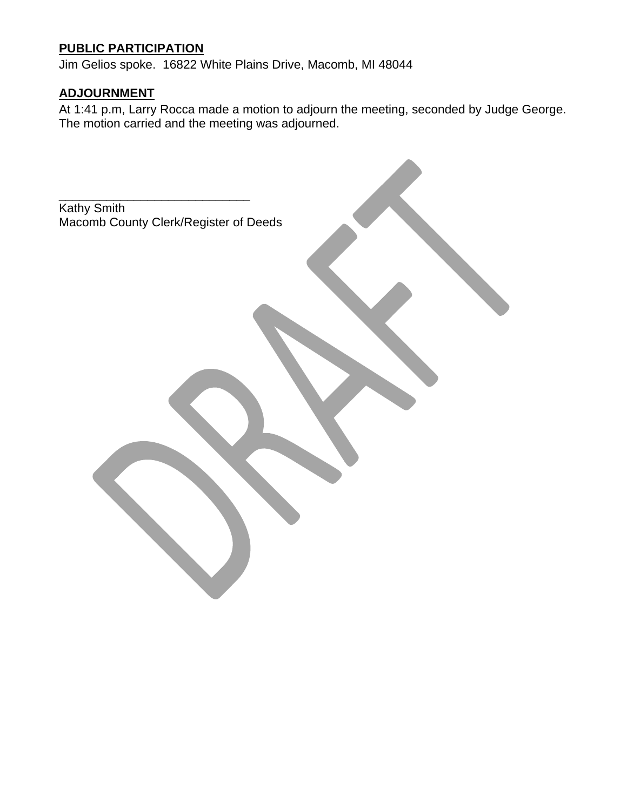### **PUBLIC PARTICIPATION**

Jim Gelios spoke. 16822 White Plains Drive, Macomb, MI 48044

### **ADJOURNMENT**

At 1:41 p.m, Larry Rocca made a motion to adjourn the meeting, seconded by Judge George. The motion carried and the meeting was adjourned.

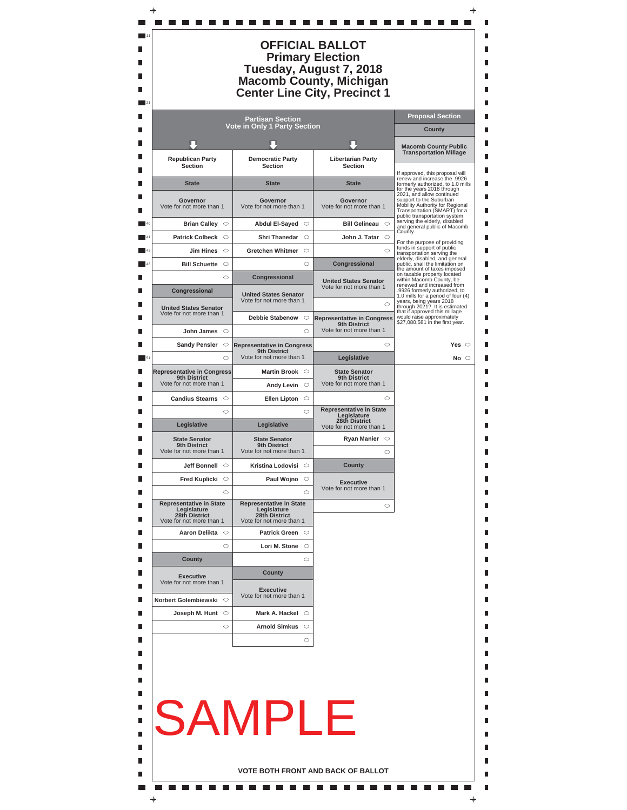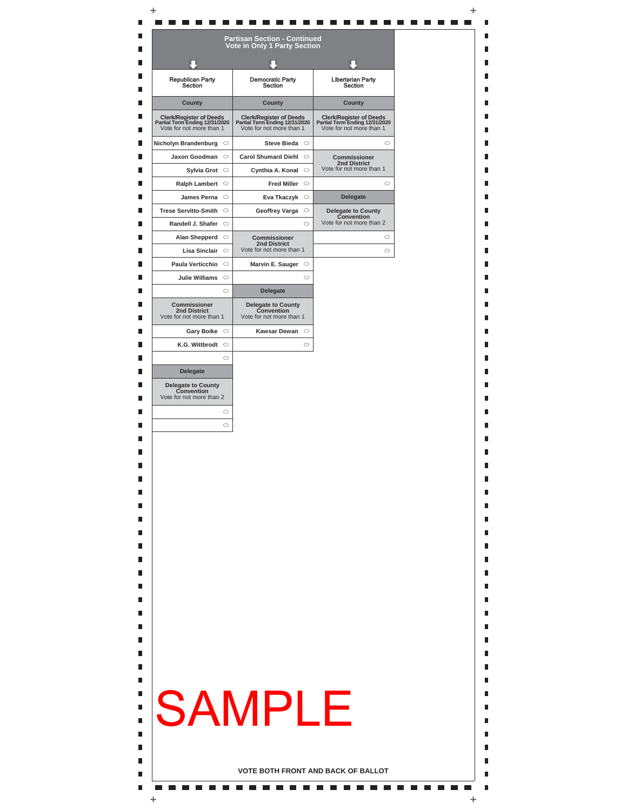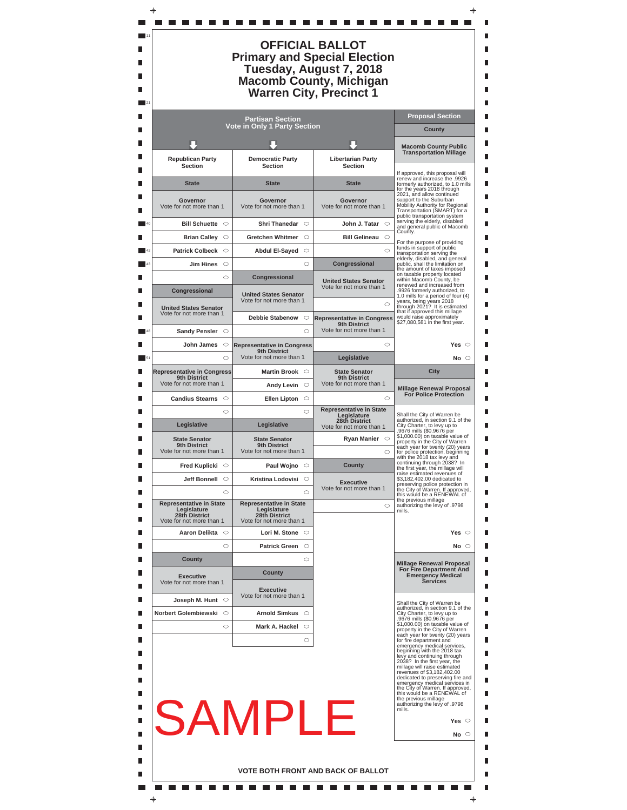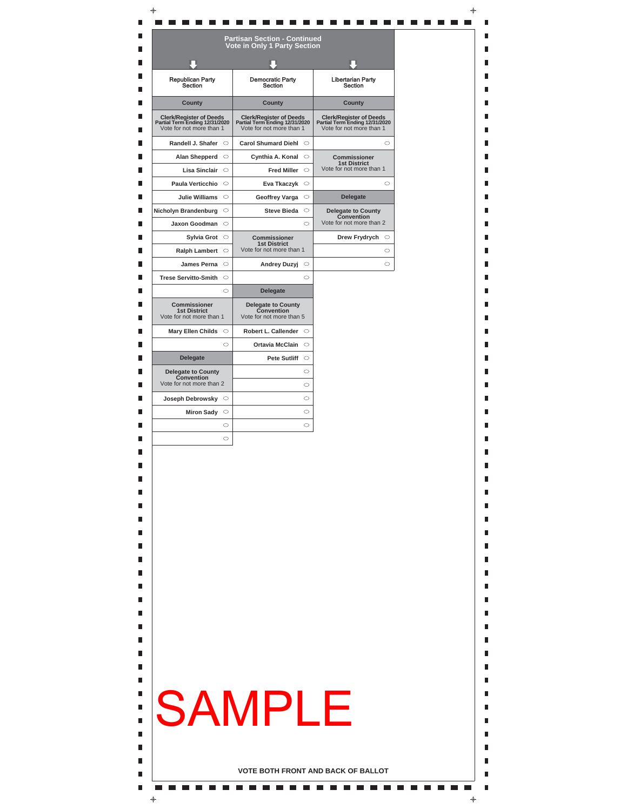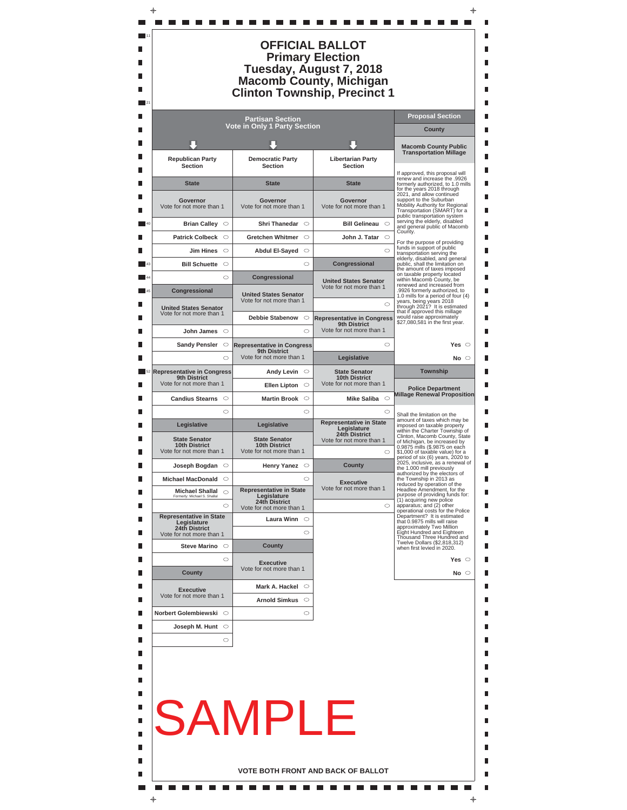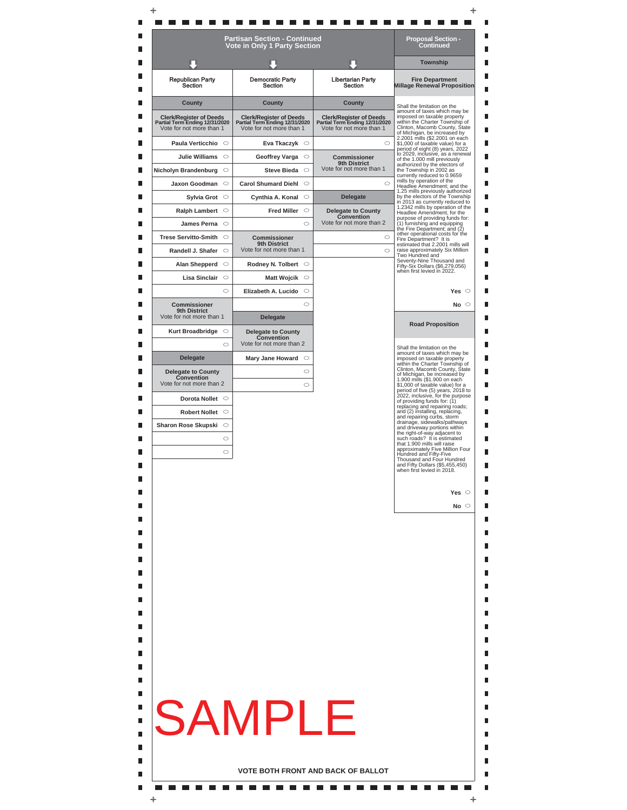|                                                                                              |         | <b>Vote in Only 1 Party Section</b>                                                          |                                                                                              | Continued                                                                                                                                                        |
|----------------------------------------------------------------------------------------------|---------|----------------------------------------------------------------------------------------------|----------------------------------------------------------------------------------------------|------------------------------------------------------------------------------------------------------------------------------------------------------------------|
|                                                                                              |         |                                                                                              |                                                                                              | <b>Township</b>                                                                                                                                                  |
| <b>Republican Party</b><br>Section                                                           |         | <b>Democratic Party</b><br>Section                                                           | <b>Libertarian Party</b><br>Section                                                          | <b>Fire Department</b><br><b>Millage Renewal Proposition</b>                                                                                                     |
| County                                                                                       |         | County                                                                                       | County                                                                                       | Shall the limitation on the<br>amount of taxes which may be                                                                                                      |
| <b>Clerk/Register of Deeds</b><br>Partial Term Ending 12/31/2020<br>Vote for not more than 1 |         | <b>Clerk/Register of Deeds</b><br>Partial Term Ending 12/31/2020<br>Vote for not more than 1 | <b>Clerk/Register of Deeds</b><br>Partial Term Ending 12/31/2020<br>Vote for not more than 1 | imposed on taxable property<br>within the Charter Township of<br>Clinton, Macomb County, State<br>of Michigan, be increased by<br>2.2001 mills (\$2.2001 on each |
| Paula Verticchio O                                                                           |         | Eva Tkaczyk $\circ$                                                                          | $\circ$                                                                                      | \$1,000 of taxable value) for a<br>period of eight (8) years, 2022                                                                                               |
| Julie Williams O                                                                             |         | $\circ$<br>Geoffrey Varga                                                                    | Commissioner<br>9th District                                                                 | to 2029, inclusive, as a renewal<br>of the 1.000 mill previously<br>authorized by the electors of                                                                |
| Nicholyn Brandenburg                                                                         | O       | $\circ$<br><b>Steve Bieda</b>                                                                | Vote for not more than 1<br>$\circ$                                                          | the Township in 2002 as<br>currently reduced to 0.9659<br>mills by operation of the                                                                              |
| Jaxon Goodman<br>Sylvia Grot O                                                               | $\circ$ | $\circ$<br><b>Carol Shumard Diehl</b><br>Cynthia A. Konal $\circ$                            | <b>Delegate</b>                                                                              | Headlee Amendment; and the<br>1.25 mills previously authorized<br>by the electors of the Township                                                                |
| Ralph Lambert O                                                                              |         | $\circ$<br><b>Fred Miller</b>                                                                | <b>Delegate to County</b>                                                                    | in 2013 as currently reduced to<br>1.2342 mills by operation of the                                                                                              |
| James Perna O                                                                                |         | $\circ$                                                                                      | Convention<br>Vote for not more than 2                                                       | Headlee Amendment, for the<br>purpose of providing funds for:<br>(1) furnishing and equipping                                                                    |
| Trese Servitto-Smith ○                                                                       |         | Commissioner                                                                                 | $\circ$                                                                                      | the Fire Department; and (2)<br>other operational costs for the<br>Fire Department? It is                                                                        |
| Randell J. Shafer                                                                            | $\circ$ | 9th District<br>Vote for not more than 1                                                     | $\circ$                                                                                      | estimated that 2.2001 mills will<br>raise approximately Six Million                                                                                              |
| Alan Shepperd                                                                                | $\circ$ | Rodney N. Tolbert O                                                                          |                                                                                              | Two Hundred and<br>Seventy-Nine Thousand and<br>Fifty-Six Dollars (\$6,279,056)                                                                                  |
| Lisa Sinclair                                                                                | $\circ$ | Matt Wojcik $\circ$                                                                          |                                                                                              | when first levied in 2022.                                                                                                                                       |
|                                                                                              | $\circ$ | Elizabeth A. Lucido<br>$\circ$                                                               |                                                                                              | Yes $\circ$                                                                                                                                                      |
| <b>Commissioner</b><br>9th District<br>Vote for not more than 1                              |         | ◠<br><b>Delegate</b>                                                                         |                                                                                              | No $\circ$                                                                                                                                                       |
| Kurt Broadbridge $\heartsuit$                                                                |         | <b>Delegate to County</b><br>Convention                                                      |                                                                                              | <b>Road Proposition</b>                                                                                                                                          |
|                                                                                              | $\circ$ | Vote for not more than 2                                                                     |                                                                                              | Shall the limitation on the                                                                                                                                      |
| <b>Delegate</b>                                                                              |         | Mary Jane Howard $\heartsuit$                                                                |                                                                                              | amount of taxes which may be<br>imposed on taxable property<br>within the Charter Township of                                                                    |
| <b>Delegate to County</b><br>Convention                                                      |         | $\circ$                                                                                      |                                                                                              | Clinton, Macomb County, State<br>of Michigan, be increased by<br>1.900 mills (\$1.900 on each                                                                    |
| Vote for not more than 2                                                                     |         | $\circ$                                                                                      |                                                                                              | \$1,000 of taxable value) for a<br>period of five (5) years, 2018 to<br>2022, inclusive, for the purpose                                                         |
| Dorota Nollet O                                                                              |         |                                                                                              |                                                                                              | of providing funds for: (1)<br>replacing and repairing roads;                                                                                                    |
| Robert Nollet O                                                                              |         |                                                                                              |                                                                                              | and (2) installing, replacing,<br>and repairing curbs, storm<br>drainage, sidewalks/pathways                                                                     |
| Sharon Rose Skupski O                                                                        | $\circ$ |                                                                                              |                                                                                              | and driveway portions within<br>the right-of-way adjacent to<br>such roads? It is estimated                                                                      |
|                                                                                              | $\circ$ |                                                                                              |                                                                                              | that 1.900 mills will raise<br>approximately Five Million Four<br>Hundred and Fifty-Five                                                                         |
|                                                                                              |         |                                                                                              |                                                                                              | Thousand and Four Hundred<br>and Fifty Dollars (\$5,455,450)<br>when first levied in 2018.                                                                       |
|                                                                                              |         |                                                                                              |                                                                                              | Yes $\circ$                                                                                                                                                      |
|                                                                                              |         |                                                                                              |                                                                                              | No $\circ$                                                                                                                                                       |
|                                                                                              |         |                                                                                              |                                                                                              |                                                                                                                                                                  |
|                                                                                              |         |                                                                                              |                                                                                              |                                                                                                                                                                  |
|                                                                                              |         |                                                                                              |                                                                                              |                                                                                                                                                                  |
|                                                                                              |         | SAMPL                                                                                        | F                                                                                            |                                                                                                                                                                  |
|                                                                                              |         |                                                                                              |                                                                                              |                                                                                                                                                                  |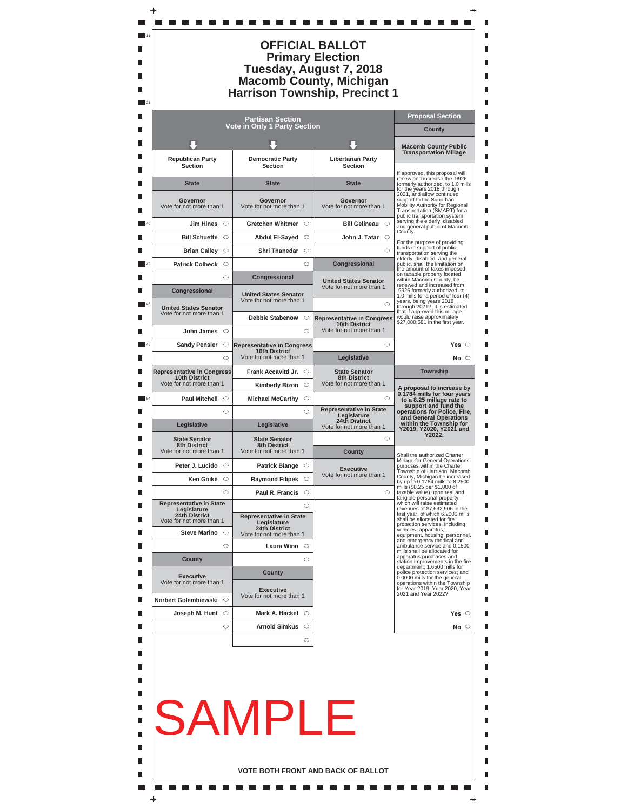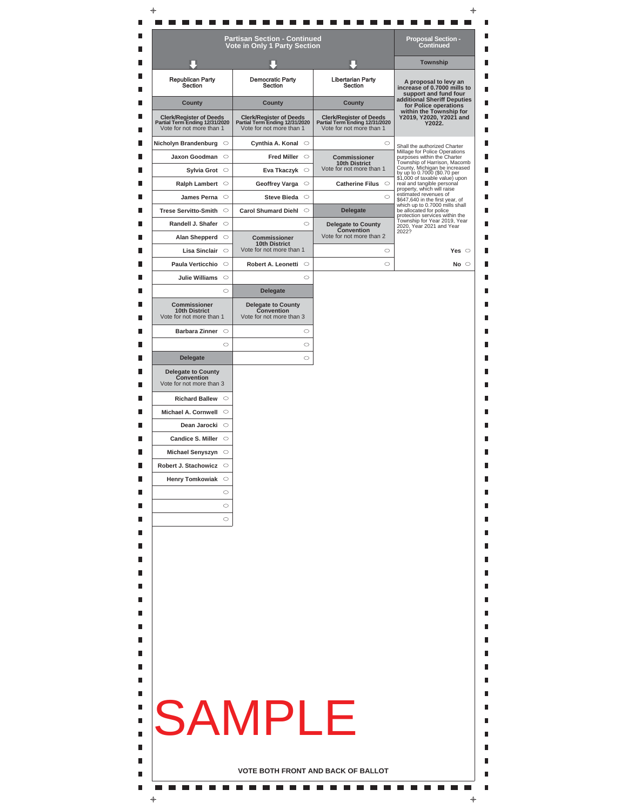|                                                                         | Vote in Only 1 Party Section                                        |                                                                  | <b>Township</b>                                                                              |
|-------------------------------------------------------------------------|---------------------------------------------------------------------|------------------------------------------------------------------|----------------------------------------------------------------------------------------------|
| <b>Republican Party</b>                                                 | <b>Democratic Party</b>                                             | <b>Libertarian Party</b>                                         | A proposal to levy an                                                                        |
| Section<br>County                                                       | Section<br>County                                                   | Section<br>County                                                | increase of 0.7000 mills to<br>support and fund four<br>additional Sheriff Deputies          |
| <b>Clerk/Register of Deeds</b><br>Partial Term Ending 12/31/2020        | <b>Clerk/Register of Deeds</b><br>Partial Term Ending 12/31/2020    | <b>Clerk/Register of Deeds</b><br>Partial Term Ending 12/31/2020 | for Police operations<br>within the Township for<br>Y2019, Y2020, Y2021 and<br>Y2022.        |
| Vote for not more than 1                                                | Vote for not more than 1                                            | Vote for not more than 1                                         |                                                                                              |
| Nicholyn Brandenburg O                                                  | Cynthia A. Konal $\circ$                                            | $\circ$                                                          | Shall the authorized Charter<br>Millage for Police Operations                                |
| Jaxon Goodman<br>Sylvia Grot O                                          | $\circ$<br><b>Fred Miller</b><br>$\circ$<br>$\circ$                 | Commissioner<br><b>10th District</b><br>Vote for not more than 1 | purposes within the Charter<br>Township of Harrison, Macomb<br>County, Michigan be increased |
| Ralph Lambert O                                                         | Eva Tkaczyk<br>Geoffrey Varga<br>$\circ$                            | Catherine Filus $\circ$                                          | by up to 0.7000 (\$0.70 per<br>\$1,000 of taxable value) upon<br>real and tangible personal  |
| James Perna $\circ$                                                     | $\circ$<br><b>Steve Bieda</b>                                       | $\circ$                                                          | property, which will raise<br>estimated revenues of                                          |
| <b>Trese Servitto-Smith</b>                                             | $\circ$<br><b>Carol Shumard Diehl</b><br>$\circ$                    | <b>Delegate</b>                                                  | \$647,640 in the first year, of<br>which up to 0.7000 mills shall<br>be allocated for police |
| Randell J. Shafer $\circ$                                               | $\circ$                                                             | <b>Delegate to County</b>                                        | protection services within the<br>Township for Year 2019, Year<br>2020, Year 2021 and Year   |
| Alan Shepperd                                                           | $\circ$<br><b>Commissioner</b>                                      | Convention<br>Vote for not more than 2                           | 2022?                                                                                        |
| Lisa Sinclair                                                           | <b>10th District</b><br>Vote for not more than 1<br>$\circ$         | $\circ$                                                          | Yes $\circ$                                                                                  |
| Paula Verticchio                                                        | $\circ$<br>Robert A. Leonetti O                                     | $\circ$                                                          | No $\circ$                                                                                   |
| <b>Julie Williams</b>                                                   | $\circ$<br>$\circ$                                                  |                                                                  |                                                                                              |
|                                                                         | $\circ$<br><b>Delegate</b>                                          |                                                                  |                                                                                              |
| <b>Commissioner</b><br><b>10th District</b><br>Vote for not more than 1 | <b>Delegate to County</b><br>Convention<br>Vote for not more than 3 |                                                                  |                                                                                              |
| Barbara Zinner O                                                        | $\circ$                                                             |                                                                  |                                                                                              |
|                                                                         | $\circ$<br>$\circ$                                                  |                                                                  |                                                                                              |
| <b>Delegate</b>                                                         | $\circ$                                                             |                                                                  |                                                                                              |
| <b>Delegate to County</b><br>Convention<br>Vote for not more than 3     |                                                                     |                                                                  |                                                                                              |
| Richard Ballew O                                                        |                                                                     |                                                                  |                                                                                              |
| Michael A. Cornwell O                                                   |                                                                     |                                                                  |                                                                                              |
| Dean Jarocki O                                                          |                                                                     |                                                                  |                                                                                              |
| Candice S. Miller $\circ$                                               |                                                                     |                                                                  |                                                                                              |
| Michael Senyszyn $\circ$                                                |                                                                     |                                                                  |                                                                                              |
| Robert J. Stachowicz                                                    |                                                                     |                                                                  |                                                                                              |
| Henry Tomkowiak O                                                       |                                                                     |                                                                  |                                                                                              |
|                                                                         | $\circ$                                                             |                                                                  |                                                                                              |
|                                                                         | $\circ$<br>$\circ$                                                  |                                                                  |                                                                                              |
|                                                                         |                                                                     |                                                                  |                                                                                              |
|                                                                         |                                                                     |                                                                  |                                                                                              |
|                                                                         |                                                                     |                                                                  |                                                                                              |
|                                                                         |                                                                     |                                                                  |                                                                                              |
|                                                                         |                                                                     |                                                                  |                                                                                              |
|                                                                         |                                                                     |                                                                  |                                                                                              |
|                                                                         | <b>SAMPLE</b>                                                       |                                                                  |                                                                                              |
|                                                                         |                                                                     |                                                                  |                                                                                              |
|                                                                         |                                                                     |                                                                  |                                                                                              |
|                                                                         |                                                                     |                                                                  |                                                                                              |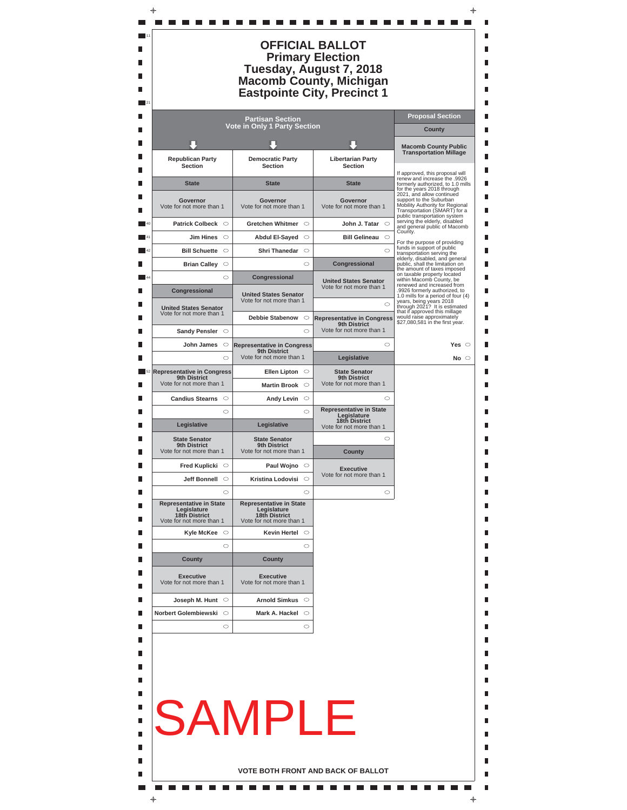